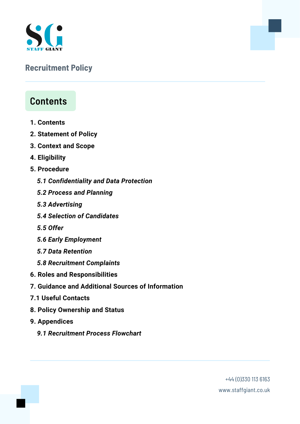

## **Recruitment Policy**

# **Contents**

- **1. Contents**
- **2. Statement of Policy**
- **3. Context and Scope**
- **4. Eligibility**
- **5. Procedure**
	- *5.1 Confidentiality and Data Protection*
	- *5.2 Process and Planning*
	- *5.3 Advertising*
	- *5.4 Selection of Candidates*
	- *5.5 Offer*
	- *5.6 Early Employment*
	- *5.7 Data Retention*
	- *5.8 Recruitment Complaints*
- **6. Roles and Responsibilities**
- **7. Guidance and Additional Sources of Information**
- **7.1 Useful Contacts**
- **8. Policy Ownership and Status**
- **9. Appendices**
	- *9.1 Recruitment Process Flowchart*

+44 [\(0\)330](https://staffgiant.co.uk/#) 113 6163 www.staffgiant.co.uk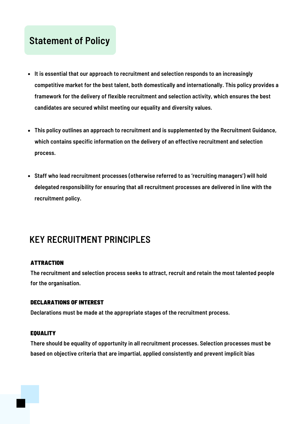# **Statement of Policy**

- **It is essential that our approach to recruitment and selection responds to an increasingly competitive market for the best talent, both domestically and internationally. This policy provides a framework for the delivery of flexible recruitment and selection activity, which ensures the best candidates are secured whilst meeting our equality and diversity values.**
- **This policy outlines an approach to recruitment and is supplemented by the Recruitment Guidance, which contains specific information on the delivery of an effective recruitment and selection process.**
- **Staff who lead recruitment processes (otherwise referred to as 'recruiting managers') will hold delegated responsibility for ensuring that all recruitment processes are delivered in line with the recruitment policy.**

# **KEY RECRUITMENT PRINCIPLES**

## **ATTRACTION**

**The recruitment and selection process seeks to attract, recruit and retain the most talented people for the organisation.**

## DECLARATIONS OF INTEREST

**Declarations must be made at the appropriate stages of the recruitment process.**

### **EQUALITY**

**There should be equality of opportunity in all recruitment processes. Selection processes must be based on objective criteria that are impartial, applied consistently and prevent implicit bias**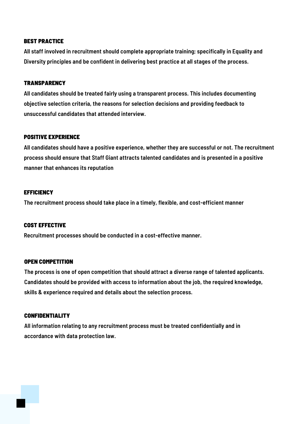#### BEST PRACTICE

**All staff involved in recruitment should complete appropriate training; specifically in Equality and Diversity principles and be confident in delivering best practice at all stages of the process.**

## **TRANSPARENCY**

**All candidates should be treated fairly using a transparent process. This includes documenting objective selection criteria, the reasons for selection decisions and providing feedback to unsuccessful candidates that attended interview.**

#### POSITIVE EXPERIENCE

**All candidates should have a positive experience, whether they are successful or not. The recruitment process should ensure that Staff Giant attracts talented candidates and is presented in a positive manner that enhances its reputation**

#### **EFFICIENCY**

**The recruitment process should take place in a timely, flexible, and cost-efficient manner**

### COST EFFECTIVE

**Recruitment processes should be conducted in a cost-effective manner.**

#### OPEN COMPETITION

**The process is one of open competition that should attract a diverse range of talented applicants. Candidates should be provided with access to information about the job, the required knowledge, skills & experience required and details about the selection process.**

### CONFIDENTIALITY

**All information relating to any recruitment process must be treated confidentially and in accordance with data protection law.**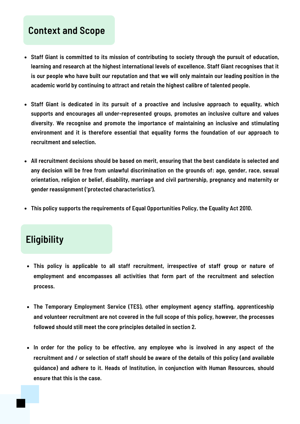## **Context and Scope**

- **Staff Giant is committed to its mission of contributing to society through the pursuit of education, learning and research at the highest international levels of excellence. Staff Giant recognises that it** is our people who have built our reputation and that we will only maintain our leading position in the **academic world by continuing to attract and retain the highest calibre of talented people.**
- **Staff Giant is dedicated in its pursuit of a proactive and inclusive approach to equality, which supports and encourages all under-represented groups, promotes an inclusive culture and values diversity. We recognise and promote the importance of maintaining an inclusive and stimulating environment and it is therefore essential that equality forms the foundation of our approach to recruitment and selection.**
- **All recruitment decisions should be based on merit, ensuring that the best candidate is selected and any decision will be free from unlawful discrimination on the grounds of: age, gender, race, sexual orientation, religion or belief, disability, marriage and civil partnership, pregnancy and maternity or gender reassignment ('protected characteristics').**
- **This policy supports the requirements of Equal Opportunities Policy, the Equality Act 2010.**

# **Eligibility**

- **This policy is applicable to all staff recruitment, irrespective of staff group or nature of employment and encompasses all activities that form part of the recruitment and selection process.**
- **The Temporary Employment Service (TES), other employment agency staffing, apprenticeship and volunteer recruitment are not covered in the full scope of this policy, however, the processes followed should still meet the core principles detailed in section 2.**
- **In order for the policy to be effective, any employee who is involved in any aspect of the** recruitment and / or selection of staff should be aware of the details of this policy (and available **guidance) and adhere to it. Heads of Institution, in conjunction with Human Resources, should ensure that this is the case.**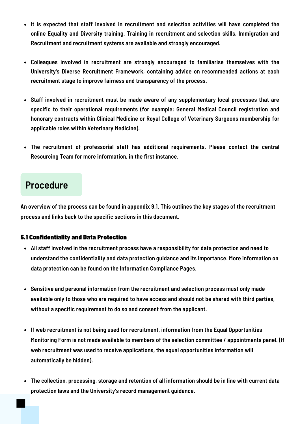- **It is expected that staff involved in recruitment and selection activities will have completed the online Equality and Diversity training. Training in recruitment and selection skills, Immigration and Recruitment and recruitment systems are available and strongly encouraged.**
- **Colleagues involved in recruitment are strongly encouraged to familiarise themselves with the University's Diverse Recruitment Framework, containing advice on recommended actions at each recruitment stage to improve fairness and transparency of the process.**
- **Staff involved in recruitment must be made aware of any supplementary local processes that are specific to their operational requirements (for example; General Medical Council registration and honorary contracts within Clinical Medicine or Royal College of Veterinary Surgeons membership for applicable roles within Veterinary Medicine).**
- **The recruitment of professorial staff has additional requirements. Please contact the central Resourcing Team for more information, in the first instance.**

# **Procedure**

An overview of the process can be found in appendix 9.1. This outlines the key stages of the recruitment **process and links back to the specific sections in this document.**

## 5.1 Confidentiality and Data Protection

- **All staff involved in the recruitment process have a responsibility for data protection and need to understand the confidentiality and data protection guidance and its importance. More information on data protection can be found on the Information Compliance Pages.**
- **Sensitive and personal information from the recruitment and selection process must only made** available only to those who are required to have access and should not be shared with third parties, **without a specific requirement to do so and consent from the applicant.**
- **If web recruitment is not being used for recruitment, information from the Equal Opportunities Monitoring Form is not made available to members of the selection committee / appointments panel. (If web recruitment was used to receive applications, the equal opportunities information will automatically be hidden).**
- **The collection, processing, storage and retention of all information should be in line with current data protection laws and the University's record management guidance.**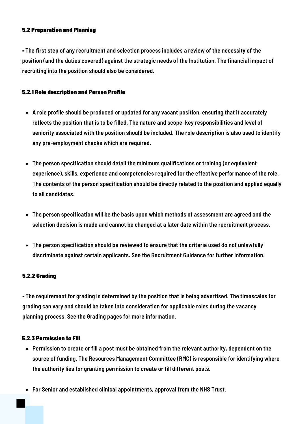## 5.2 Preparation and Planning

. The first step of any recruitment and selection process includes a review of the necessity of the **position (and the duties covered) against the strategic needs of the Institution. The financial impact of recruiting into the position should also be considered.**

## 5.2.1 Role description and Person Profile

- **A role profile should be produced or updated for any vacant position, ensuring that it accurately reflects the position that is to be filled. The nature and scope, key responsibilities and level of seniority associated with the position should be included. The role description is also used to identify any pre-employment checks which are required.**
- **The person specification should detail the minimum qualifications or training (or equivalent experience), skills, experience and competencies required for the effective performance of the role. The contents of the person specification should be directly related to the position and applied equally to all candidates.**
- **The person specification will be the basis upon which methods of assessment are agreed and the selection decision is made and cannot be changed at a later date within the recruitment process.**
- **The person specification should be reviewed to ensure that the criteria used do not unlawfully discriminate against certain applicants. See the Recruitment Guidance for further information.**

### 5.2.2 Grading

**• The requirement for grading is determined by the position that is being advertised. The timescales for grading can vary and should be taken into consideration for applicable roles during the vacancy planning process. See the Grading pages for more information.**

### 5.2.3 Permission to Fill

- **Permission to create or fill a post must be obtained from the relevant authority, dependent on the source of funding. The Resources Management Committee (RMC) is responsible for identifying where the authority lies for granting permission to create or fill different posts.**
- **For Senior and established clinical appointments, approval from the NHS Trust.**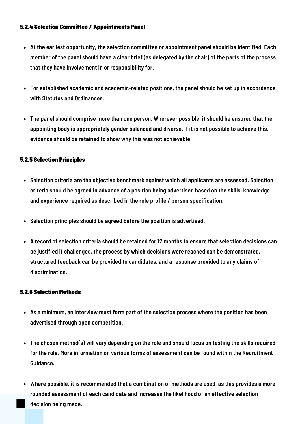## 5.2.4 Selection Committee / Appointments Panel

- **At the earliest opportunity, the selection committee or appointment panel should be identified. Each** member of the panel should have a clear brief (as delegated by the chair) of the parts of the process **that they have involvement in or responsibility for.**
- **For established academic and academic-related positions, the panel should be set up in accordance with Statutes and Ordinances.**
- **The panel should comprise more than one person. Wherever possible, it should be ensured that the appointing body is appropriately gender balanced and diverse. If it is not possible to achieve this, evidence should be retained to show why this was not achievable**

## 5.2.5 Selection Principles

- **Selection criteria are the objective benchmark against which all applicants are assessed. Selection criteria should be agreed in advance of a position being advertised based on the skills, knowledge and experience required as described in the role profile / person specification.**
- **Selection principles should be agreed before the position is advertised.**
- **A record of selection criteria should be retained for 12 months to ensure that selection decisions can be justified if challenged, the process by which decisions were reached can be demonstrated, structured feedback can be provided to candidates, and a response provided to any claims of discrimination.**

## 5.2.6 Selection Methods

- **As a minimum, an interview must form part of the selection process where the position has been advertised through open competition.**
- **The chosen method(s) will vary depending on the role and should focus on testing the skills required for the role. More information on various forms of assessment can be found within the Recruitment Guidance.**
- **Where possible, it is recommended that a combination of methods are used, as this provides a more rounded assessment of each candidate and increases the likelihood of an effective selection decision being made.**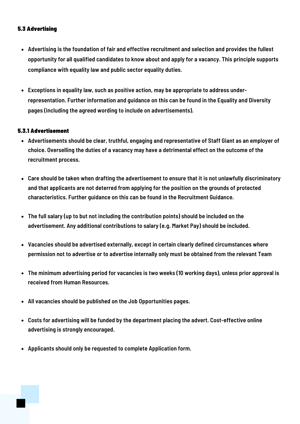## 5.3 Advertising

- **Advertising is the foundation of fair and effective recruitment and selection and provides the fullest opportunity for all qualified candidates to know about and apply for a vacancy. This principle supports compliance with equality law and public sector equality duties.**
- **Exceptions in equality law, such as positive action, may be appropriate to address underrepresentation. Further information and guidance on this can be found in the Equality and Diversity pages (including the agreed wording to include on advertisements).**

## 5.3.1 Advertisement

- **Advertisements should be clear, truthful, engaging and representative of Staff Giant as an employer of choice. Overselling the duties of a vacancy may have a detrimental effect on the outcome of the recruitment process.**
- **Care should be taken when drafting the advertisement to ensure that it is not unlawfully discriminatory and that applicants are not deterred from applying for the position on the grounds of protected characteristics. Further guidance on this can be found in the Recruitment Guidance.**
- **The full salary (up to but not including the contribution points) should be included on the advertisement. Any additional contributions to salary (e.g. Market Pay) should be included.**
- **Vacancies should be advertised externally, except in certain clearly defined circumstances where permission not to advertise or to advertise internally only must be obtained from the relevant Team**
- **The minimum advertising period for vacancies is two weeks (10 working days), unless prior approval is received from Human Resources.**
- **All vacancies should be published on the Job Opportunities pages.**
- **Costs for advertising will be funded by the department placing the advert. Cost-effective online advertising is strongly encouraged.**
- **Applicants should only be requested to complete Application form.**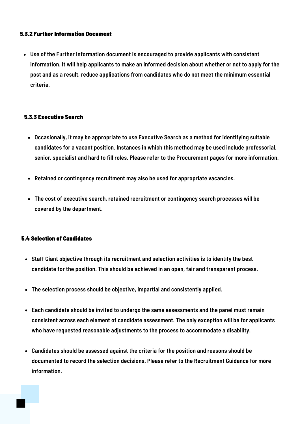## 5.3.2 Further Information Document

**Use of the Further Information document is encouraged to provide applicants with consistent** information. It will help applicants to make an informed decision about whether or not to apply for the **post and as a result, reduce applications from candidates who do not meet the minimum essential criteria.**

## 5.3.3 Executive Search

- **Occasionally, it may be appropriate to use Executive Search as a method for identifying suitable candidates for a vacant position. Instances in which this method may be used include professorial, senior, specialist and hard to fill roles. Please refer to the Procurement pages for more information.**
- **Retained or contingency recruitment may also be used for appropriate vacancies.**
- **The cost of executive search, retained recruitment or contingency search processes will be covered by the department.**

## 5.4 Selection of Candidates

- **Staff Giant objective through its recruitment and selection activities is to identify the best candidate for the position. This should be achieved in an open, fair and transparent process.**
- **The selection process should be objective, impartial and consistently applied.**
- **Each candidate should be invited to undergo the same assessments and the panel must remain consistent across each element of candidate assessment. The only exception will be for applicants who have requested reasonable adjustments to the process to accommodate a disability.**
- **Candidates should be assessed against the criteria for the position and reasons should be documented to record the selection decisions. Please refer to the Recruitment Guidance for more information.**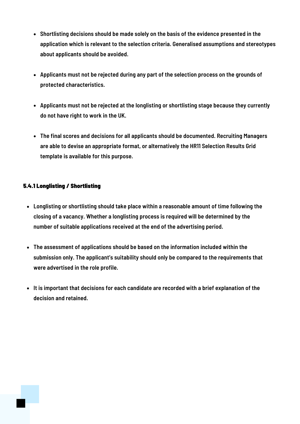- **Shortlisting decisions should be made solely on the basis of the evidence presented in the application which is relevant to the selection criteria. Generalised assumptions and stereotypes about applicants should be avoided.**
- **Applicants must not be rejected during any part of the selection process on the grounds of protected characteristics.**
- **Applicants must not be rejected at the longlisting or shortlisting stage because they currently do not have right to work in the UK.**
- **The final scores and decisions for all applicants should be documented. Recruiting Managers are able to devise an appropriate format, or alternatively the HR11 Selection Results Grid template is available for this purpose.**

## 5.4.1 Longlisting / Shortlisting

- **Longlisting or shortlisting should take place within a reasonable amount of time following the closing of a vacancy. Whether a longlisting process is required will be determined by the number of suitable applications received at the end of the advertising period.**
- **The assessment of applications should be based on the information included within the submission only. The applicant's suitability should only be compared to the requirements that were advertised in the role profile.**
- **It is important that decisions for each candidate are recorded with a brief explanation of the decision and retained.**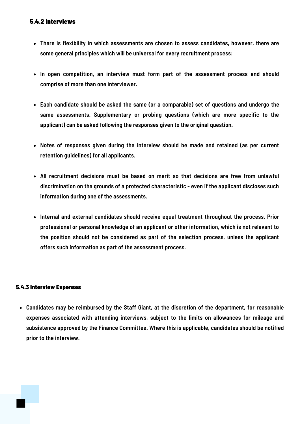## 5.4.2 Interviews

- **There is flexibility in which assessments are chosen to assess candidates, however, there are some general principles which will be universal for every recruitment process:**
- **In open competition, an interview must form part of the assessment process and should comprise of more than one interviewer.**
- **Each candidate should be asked the same (or a comparable) set of questions and undergo the same assessments. Supplementary or probing questions (which are more specific to the applicant) can be asked following the responses given to the original question.**
- **Notes of responses given during the interview should be made and retained (as per current retention guidelines) for all applicants.**
- **All recruitment decisions must be based on merit so that decisions are free from unlawful discrimination on the grounds of a protected characteristic - even if the applicant discloses such information during one of the assessments.**
- **Internal and external candidates should receive equal treatment throughout the process. Prior professional or personal knowledge of an applicant or other information, which is not relevant to the position should not be considered as part of the selection process, unless the applicant offers such information as part of the assessment process.**

## 5.4.3 Interview Expenses

**Candidates may be reimbursed by the Staff Giant, at the discretion of the department, for reasonable expenses associated with attending interviews, subject to the limits on allowances for mileage and subsistence approved by the Finance Committee. Where this is applicable, candidates should be notified prior to the interview.**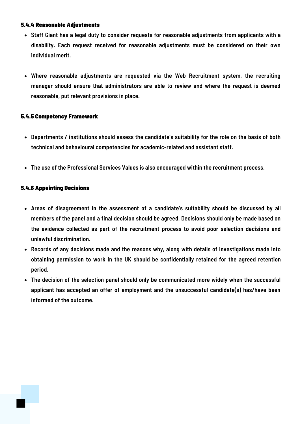## 5.4.4 Reasonable Adjustments

- **Staff Giant has a legal duty to consider requests for reasonable adjustments from applicants with a disability. Each request received for reasonable adjustments must be considered on their own individual merit.**
- **Where reasonable adjustments are requested via the Web Recruitment system, the recruiting manager should ensure that administrators are able to review and where the request is deemed reasonable, put relevant provisions in place.**

## 5.4.5 Competency Framework

- **Departments / institutions should assess the candidate's suitability for the role on the basis of both technical and behavioural competencies for academic-related and assistant staff.**
- **The use of the Professional Services Values is also encouraged within the recruitment process.**

## 5.4.6 Appointing Decisions

- **Areas of disagreement in the assessment of a candidate's suitability should be discussed by all members of the panel and a final decision should be agreed. Decisions should only be made based on the evidence collected as part of the recruitment process to avoid poor selection decisions and unlawful discrimination.**
- **Records of any decisions made and the reasons why, along with details of investigations made into obtaining permission to work in the UK should be confidentially retained for the agreed retention period.**
- **The decision of the selection panel should only be communicated more widely when the successful applicant has accepted an offer of employment and the unsuccessful candidate(s) has/have been informed of the outcome.**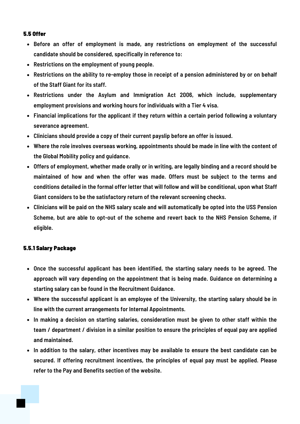#### 5.5 Offer

- **Before an offer of employment is made, any restrictions on employment of the successful candidate should be considered, specifically in reference to:**
- **Restrictions on the employment of young people.**
- **Restrictions on the ability to re-employ those in receipt of a pension administered by or on behalf of the Staff Giant for its staff.**
- **Restrictions under the Asylum and Immigration Act 2006, which include, supplementary employment provisions and working hours for individuals with a Tier 4 visa.**
- **Financial implications for the applicant if they return within a certain period following a voluntary severance agreement.**
- **Clinicians should provide a copy of their current payslip before an offer is issued.**
- **Where the role involves overseas working, appointments should be made in line with the content of the Global Mobility policy and guidance.**
- **Offers of employment, whether made orally or in writing, are legally binding and a record should be maintained of how and when the offer was made. Offers must be subject to the terms and conditions detailed in the formal offer letter that will follow and will be conditional, upon what Staff Giant considers to be the satisfactory return of the relevant screening checks.**
- Clinicians will be paid on the NHS salary scale and will automatically be opted into the USS Pension **Scheme, but are able to opt-out of the scheme and revert back to the NHS Pension Scheme, if eligible.**

### 5.5.1 Salary Package

- **Once the successful applicant has been identified, the starting salary needs to be agreed. The approach will vary depending on the appointment that is being made. Guidance on determining a starting salary can be found in the Recruitment Guidance.**
- **Where the successful applicant is an employee of the University, the starting salary should be in line with the current arrangements for Internal Appointments.**
- **In making a decision on starting salaries, consideration must be given to other staff within the** team / department / division in a similar position to ensure the principles of equal pay are applied **and maintained.**
- **In addition to the salary, other incentives may be available to ensure the best candidate can be secured. If offering recruitment incentives, the principles of equal pay must be applied. Please refer to the Pay and Benefits section of the website.**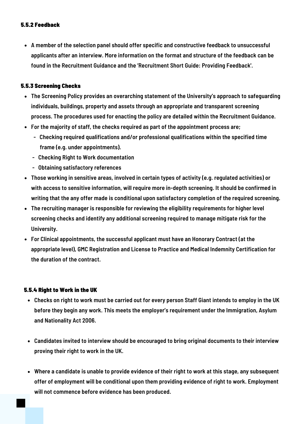## 5.5.2 Feedback

**A member of the selection panel should offer specific and constructive feedback to unsuccessful applicants after an interview. More information on the format and structure of the feedback can be found in the Recruitment Guidance and the 'Recruitment Short Guide: Providing Feedback'.**

## 5.5.3 Screening Checks

- **The Screening Policy provides an overarching statement of the University's approach to safeguarding individuals, buildings, property and assets through an appropriate and transparent screening process. The procedures used for enacting the policy are detailed within the Recruitment Guidance.**
- **For the majority of staff, the checks required as part of the appointment process are;**
	- **- Checking required qualifications and/or professional qualifications within the specified time frame (e.g. under appointments).**
	- **- Checking Right to Work documentation**
	- **- Obtaining satisfactory references**
- **Those working in sensitive areas, involved in certain types of activity (e.g. regulated activities) or with access to sensitive information, will require more in-depth screening. It should be confirmed in writing that the any offer made is conditional upon satisfactory completion of the required screening.**
- **The recruiting manager is responsible for reviewing the eligibility requirements for higher level screening checks and identify any additional screening required to manage mitigate risk for the University.**
- **For Clinical appointments, the successful applicant must have an Honorary Contract (at the appropriate level), GMC Registration and License to Practice and Medical Indemnity Certification for the duration of the contract.**

### 5.5.4 Right to Work in the UK

- Checks on right to work must be carried out for every person Staff Giant intends to employ in the UK **before they begin any work. This meets the employer's requirement under the Immigration, Asylum and Nationality Act 2006.**
- **Candidates invited to interview should be encouraged to bring original documents to their interview proving their right to work in the UK.**
- Where a candidate is unable to provide evidence of their right to work at this stage, any subsequent **offer of employment will be conditional upon them providing evidence of right to work. Employment will not commence before evidence has been produced.**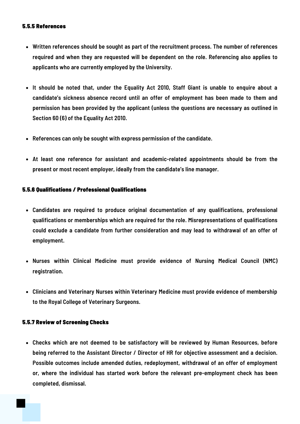#### 5.5.5 References

- **Written references should be sought as part of the recruitment process. The number of references required and when they are requested will be dependent on the role. Referencing also applies to applicants who are currently employed by the University.**
- **It should be noted that, under the Equality Act 2010, Staff Giant is unable to enquire about a candidate's sickness absence record until an offer of employment has been made to them and permission has been provided by the applicant (unless the questions are necessary as outlined in Section 60 (6) of the Equality Act 2010.**
- **References can only be sought with express permission of the candidate.**
- **At least one reference for assistant and academic-related appointments should be from the present or most recent employer, ideally from the candidate's line manager.**

### 5.5.6 Qualifications / Professional Qualifications

- **Candidates are required to produce original documentation of any qualifications, professional qualifications or memberships which are required for the role. Misrepresentations of qualifications could exclude a candidate from further consideration and may lead to withdrawal of an offer of employment.**
- **Nurses within Clinical Medicine must provide evidence of Nursing Medical Council (NMC) registration.**
- **Clinicians and Veterinary Nurses within Veterinary Medicine must provide evidence of membership to the Royal College of Veterinary Surgeons.**

### 5.5.7 Review of Screening Checks

**Checks which are not deemed to be satisfactory will be reviewed by Human Resources, before being referred to the Assistant Director / Director of HR for objective assessment and a decision. Possible outcomes include amended duties, redeployment, withdrawal of an offer of employment or, where the individual has started work before the relevant pre-employment check has been completed, dismissal.**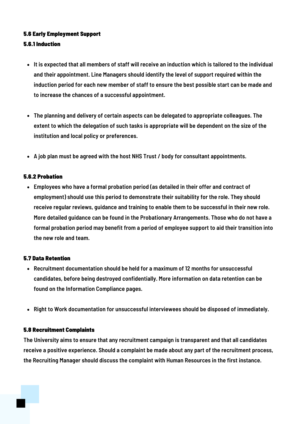## 5.6 Early Employment Support

## 5.6.1 Induction

- It is expected that all members of staff will receive an induction which is tailored to the individual **and their appointment. Line Managers should identify the level of support required within the induction period for each new member of staff to ensure the best possible start can be made and to increase the chances of a successful appointment.**
- **The planning and delivery of certain aspects can be delegated to appropriate colleagues. The extent to which the delegation of such tasks is appropriate will be dependent on the size of the institution and local policy or preferences.**
- **A job plan must be agreed with the host NHS Trust / body for consultant appointments.**

## 5.6.2 Probation

**Employees who have a formal probation period (as detailed in their offer and contract of employment) should use this period to demonstrate their suitability for the role. They should receive regular reviews, guidance and training to enable them to be successful in their new role. More detailed guidance can be found in the Probationary Arrangements. Those who do not have a formal probation period may benefit from a period of employee support to aid their transition into the new role and team.**

### 5.7 Data Retention

- **Recruitment documentation should be held for a maximum of 12 months for unsuccessful candidates, before being destroyed confidentially. More information on data retention can be found on the Information Compliance pages.**
- **Right to Work documentation for unsuccessful interviewees should be disposed of immediately.**

### 5.8 Recruitment Complaints

**The University aims to ensure that any recruitment campaign is transparent and that all candidates receive a positive experience. Should a complaint be made about any part of the recruitment process, the Recruiting Manager should discuss the complaint with Human Resources in the first instance.**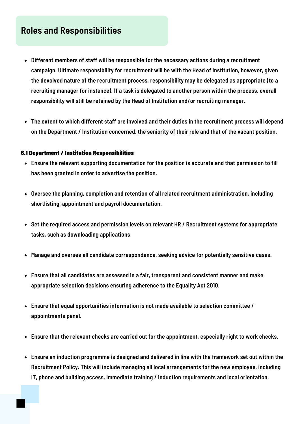## **Roles and Responsibilities**

- **Different members of staff will be responsible for the necessary actions during a recruitment campaign. Ultimate responsibility for recruitment will be with the Head of Institution, however, given the devolved nature of the recruitment process, responsibility may be delegated as appropriate (to a recruiting manager for instance). If a task is delegated to another person within the process, overall responsibility will still be retained by the Head of Institution and/or recruiting manager.**
- **The extent to which different staff are involved and their duties in the recruitment process will depend on the Department / Institution concerned, the seniority of their role and that of the vacant position.**

### 6.1 Department / Institution Responsibilities

- **Ensure the relevant supporting documentation for the position is accurate and that permission to fill has been granted in order to advertise the position.**
- **Oversee the planning, completion and retention of all related recruitment administration, including shortlisting, appointment and payroll documentation.**
- **Set the required access and permission levels on relevant HR / Recruitment systems for appropriate tasks, such as downloading applications**
- **Manage and oversee all candidate correspondence, seeking advice for potentially sensitive cases.**
- **Ensure that all candidates are assessed in a fair, transparent and consistent manner and make appropriate selection decisions ensuring adherence to the Equality Act 2010.**
- **Ensure that equal opportunities information is not made available to selection committee / appointments panel.**
- **Ensure that the relevant checks are carried out for the appointment, especially right to work checks.**
- **Ensure an induction programme is designed and delivered in line with the framework set out within the Recruitment Policy. This will include managing all local arrangements for the new employee, including IT, phone and building access, immediate training / induction requirements and local orientation.**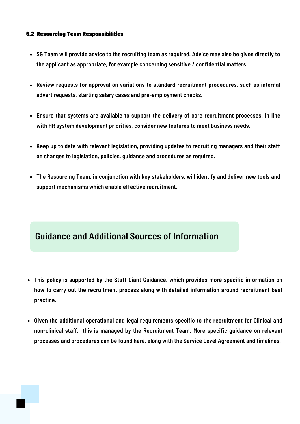## 6.2 Resourcing Team Responsibilities

- SG Team will provide advice to the recruiting team as required. Advice may also be given directly to **the applicant as appropriate, for example concerning sensitive / confidential matters.**
- **Review requests for approval on variations to standard recruitment procedures, such as internal advert requests, starting salary cases and pre-employment checks.**
- **Ensure that systems are available to support the delivery of core recruitment processes. In line with HR system development priorities, consider new features to meet business needs.**
- **Keep up to date with relevant legislation, providing updates to recruiting managers and their staff on changes to legislation, policies, guidance and procedures as required.**
- **The Resourcing Team, in conjunction with key stakeholders, will identify and deliver new tools and support mechanisms which enable effective recruitment.**

# **Guidance and Additional Sources of Information**

- **This policy is supported by the Staff Giant Guidance, which provides more specific information on how to carry out the recruitment process along with detailed information around recruitment best practice.**
- **Given the additional operational and legal requirements specific to the recruitment for Clinical and non-clinical staff, this is managed by the Recruitment Team. More specific guidance on relevant processes and procedures can be found here, along with the Service Level Agreement and timelines.**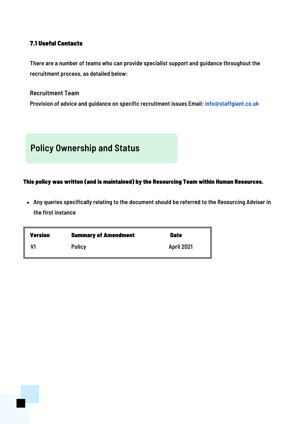## 7.1 Useful Contacts

**There are a number of teams who can provide specialist support and guidance throughout the recruitment process, as detailed below:**

**Recruitment Team**

**Provision of advice and guidance on specific recruitment issues Email: info@staffgiant.co.uk**



## This policy was written (and is maintained) by the Resourcing Team within Human Resources.

**Any queries specifically relating to the document should be referred to the Resourcing Adviser in the first instance**

| <b>Version</b> | <b>Summary of Amendment</b> | <b>Date</b>       |
|----------------|-----------------------------|-------------------|
| V1             | <b>Policy</b>               | <b>April 2021</b> |